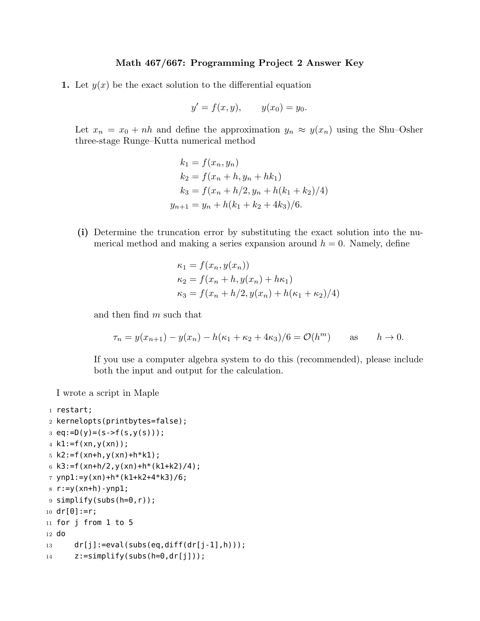## **Math 467/667: Programming Project 2 Answer Key**

**1.** Let  $y(x)$  be the exact solution to the differential equation

$$
y' = f(x, y),
$$
  $y(x_0) = y_0.$ 

Let  $x_n = x_0 + nh$  and define the approximation  $y_n \approx y(x_n)$  using the Shu–Osher three-stage Runge–Kutta numerical method

$$
k_1 = f(x_n, y_n)
$$
  
\n
$$
k_2 = f(x_n + h, y_n + hk_1)
$$
  
\n
$$
k_3 = f(x_n + h/2, y_n + h(k_1 + k_2)/4)
$$
  
\n
$$
y_{n+1} = y_n + h(k_1 + k_2 + 4k_3)/6.
$$

**(i)** Determine the truncation error by substituting the exact solution into the numerical method and making a series expansion around  $h = 0$ . Namely, define

$$
\kappa_1 = f(x_n, y(x_n))
$$
  
\n
$$
\kappa_2 = f(x_n + h, y(x_n) + h\kappa_1)
$$
  
\n
$$
\kappa_3 = f(x_n + h/2, y(x_n) + h(\kappa_1 + \kappa_2)/4)
$$

and then find *m* such that

$$
\tau_n = y(x_{n+1}) - y(x_n) - h(\kappa_1 + \kappa_2 + 4\kappa_3)/6 = \mathcal{O}(h^m)
$$
 as  $h \to 0$ .

If you use a computer algebra system to do this (recommended), please include both the input and output for the calculation.

I wrote a script in Maple

```
1 restart;
2 kernelopts(printbytes=false);
3 \text{ eq}:=D(y)=(s->f(s,y(s)));
4 k1:=f(xn,y(xn));
5 k2:=f(xn+h,y(xn)+h*k1);6 k3:=f(xn+h/2,y(xn)+h*(k1+k2)/4);
7 ynp1:=y(xn)+h*(k1+k2+4*k3)/6;
8 r := y(xn+h) - ynp1;9 simplify(subs(h=0,r));
10 \text{ dr} [0]:=r;11 for j from 1 to 5
12 do
13 dr[j]:=eval(subs(eq,diff(dr[j-1],h)));
14 z:=simplify(subs(h=0,dr[j]));
```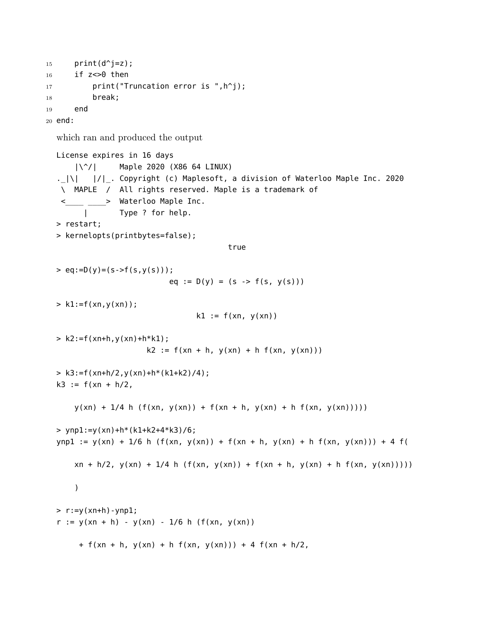```
15 print(d^{\wedge})=z;
16 if z \le 0 then
17 print("Truncation error is ",h^j);
18 break;
19 end
20 end:
```
which ran and produced the output

```
License expires in 16 days
    |\^/| Maple 2020 (X86 64 LINUX)
._|\| |/|_. Copyright (c) Maplesoft, a division of Waterloo Maple Inc. 2020
 \ MAPLE / All rights reserved. Maple is a trademark of
         \longrightarrow Waterloo Maple Inc.
      | Type ? for help.
> restart;
> kernelopts(printbytes=false);
                                      true
> eq := D(y) = (s - f(s, y(s)));
                         eq := D(y) = (s \rightarrow f(s, y(s)))> k1:=f(xn,y(xn));
                               k1 := f(xn, y(xn))> k2:=f(xn+h,y(xn)+h*k1);k2 := f(xn + h, y(xn) + h f(xn, y(xn)))> k3:=f(xn+h/2, y(xn)+h*(k1+k2)/4);k3 := f(xn + h/2),
    y(xn) + 1/4 h (f(xn, y(xn)) + f(xn + h, y(xn)) + h f(xn, y(xn))))> ynp1:=y(xn)+h*(k1+k2+4*k3)/6;
ynp1 := y(xn) + 1/6 h (f(xn, y(xn)) + f(xn + h, y(xn) + h f(xn, y(xn))) + 4 f(
    xn + h/2, y(xn) + 1/4 h (f(xn, y(xn)) + f(xn + h, y(xn)) + h f(xn, y(xn)))))
> r:=y(xn+h)-ynp1;r := y(xn + h) - y(xn) - 1/6 h (f(xn, y(xn)))+ f(xn + h, y(xn) + h f(xn, y(xn))) + 4 f(xn + h/2)
```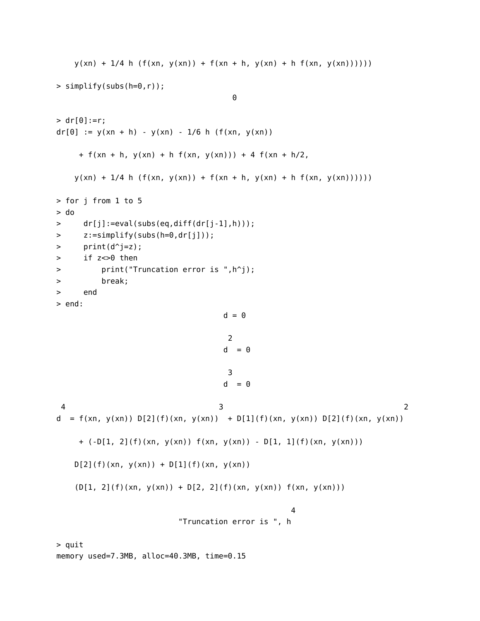```
y(xn) + 1/4 h (f(xn, y(xn)) + f(xn + h, y(xn)) + h f(xn, y(xn))))> simplify(subs(h=0,r));
                                  \theta> dr[0]:=r;dr[0] := y(xn + h) - y(xn) - 1/6 h (f(xn, y(xn)))+ f(xn + h, y(xn) + h f(xn, y(xn))) + 4 f(xn + h/2,y(xn) + 1/4 h (f(xn, y(xn)) + f(xn + h, y(xn)) + h f(xn, y(xn))))> for j from 1 to 5
> do
> dr[j]:=eval(subs(eq,diff(dr[j-1],h)));
> z:=simplify(subs(h=0,dr[j]));
> print(d^j=z);
> if z<>0 then
> print("Truncation error is ",h^j);
> break;
> end
> end:
                                 d = 02
                                 d = 03
                                 d = 0\frac{1}{3} 2
d = f(xn, y(xn)) D[2](f)(xn, y(xn)) + D[1](f)(xn, y(xn)) D[2](f)(xn, y(xn))+ (-D[1, 2](f)(xn, y(xn)) f(xn, y(xn)) - D[1, 1](f)(xn, y(xn)))
   D[2](f)(xn, y(xn)) + D[1](f)(xn, y(xn))(D[1, 2](f)(xn, y(xn)) + D[2, 2](f)(xn, y(xn)) f(xn, y(xn)))\Delta"Truncation error is ", h
```
> quit

memory used=7.3MB, alloc=40.3MB, time=0.15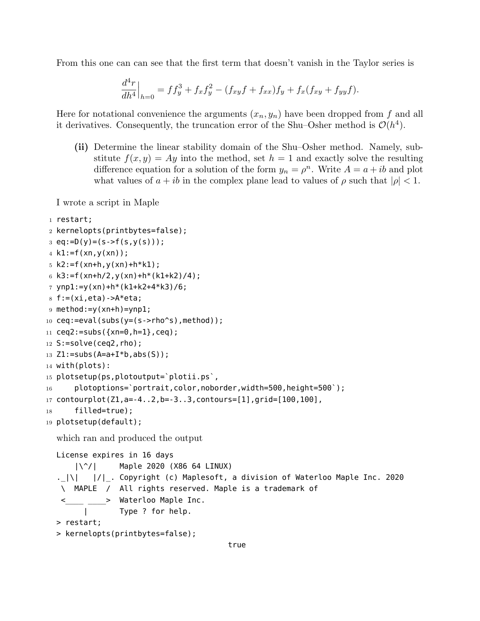From this one can can see that the first term that doesn't vanish in the Taylor series is

$$
\frac{d^4r}{dh^4}\Big|_{h=0} = ff_y^3 + f_xf_y^2 - (f_{xy}f + f_{xx})f_y + f_x(f_{xy} + f_{yy}f).
$$

Here for notational convenience the arguments  $(x_n, y_n)$  have been dropped from f and all it derivatives. Consequently, the truncation error of the Shu-Osher method is  $\mathcal{O}(h^4)$ .

**(ii)** Determine the linear stability domain of the Shu–Osher method. Namely, substitute  $f(x, y) = Ay$  into the method, set  $h = 1$  and exactly solve the resulting difference equation for a solution of the form  $y_n = \rho^n$ . Write  $A = a + ib$  and plot what values of  $a + ib$  in the complex plane lead to values of  $\rho$  such that  $|\rho| < 1$ .

I wrote a script in Maple

```
1 restart;
2 kernelopts(printbytes=false);
3 \text{ eq}:=D(y)=(s->f(s,y(s)));
4 k1:=f(xn,y(xn));
5 k2:=f(xn+h,y(xn)+h*k1);6 k3:=f(xn+h/2,y(xn)+h*(k1+k2)/4);7 ynp1:=y(xn)+h*(k1+k2+4*k3)/6;
8 f := (xi,eta) -A*eta;9 method:=y(xn+h)=ynp1;
10 ceq:=eval(subs(y=(s->rho^s),method));11 ceq2:=subs({xn=0,h=1},ceq);12 S:=solve(ceq2,rho);13 Z1 := subs(A=a+I*b, abs(S));14 with(plots):
15 plotsetup(ps,plotoutput=`plotii.ps`,
16 plotoptions=`portrait,color,noborder,width=500,height=500`);
17 contourplot(Z1,a=-4..2,b=-3..3,contours=[1],grid=[100,100],
18 filled=true);
19 plotsetup(default);
  which ran and produced the output
  License expires in 16 days
      |\^/| Maple 2020 (X86 64 LINUX)
  ._|\| |/|_. Copyright (c) Maplesoft, a division of Waterloo Maple Inc. 2020
   \ MAPLE / All rights reserved. Maple is a trademark of
          > Waterloo Maple Inc.
        | Type ? for help.
  > restart;
  > kernelopts(printbytes=false);
                                        true
```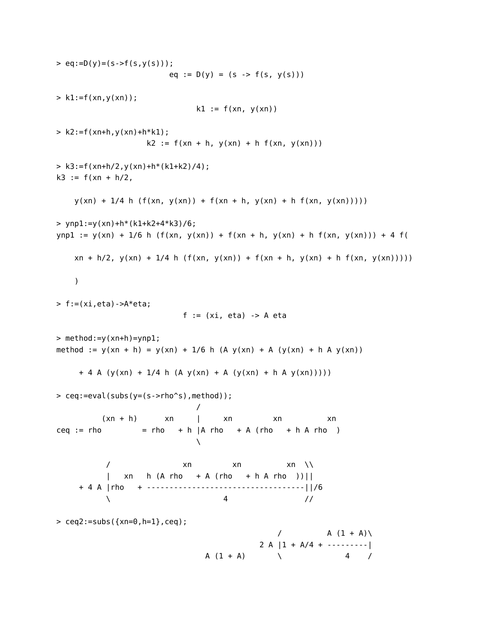```
> eq := D(y) = (s - f(s, y(s)));
                      eq := D(y) = (s \rightarrow f(s, y(s)))> k1:=f(xn,y(xn));
                           k1 := f(xn, y(xn))> k2:=f(xn+h,y(xn)+h*k1);k2 := f(xn + h, y(xn) + h f(xn, y(xn)))> k3:=f(xn+h/2, y(xn)+h*(k1+k2)/4);k3 := f(xn + h/2),
   y(xn) + 1/4 h (f(xn, y(xn)) + f(xn + h, y(xn)) + h f(xn, y(xn))))> ynp1:=y(xn)+h*(k1+k2+4*k3)/6;
ynp1 := y(xn) + 1/6 h (f(xn, y(xn)) + f(xn + h, y(xn) + h f(xn, y(xn))) + 4 f(
   xn + h/2, y(xn) + 1/4 h (f(xn, y(xn)) + f(xn + h, y(xn) + h f(xn, y(xn)))))
> f:=(xi,eta) ->A*eta;
                         f := (xi, eta) -> A eta
> method:=y(xn+h)=ynp1;
method := y(xn + h) = y(xn) + 1/6 h (A y(xn) + A (y(xn) + h A y(xn)))+ 4 A (y(xn) + 1/4 h (A y(xn) + A (y(xn) + h A y(xn)))))
> ceq:=eval(subs(y=(s->rho^s),method));
                            /
         (xn + h) xn | xn xn xn
ceq := rho = rho + h |A rho + A (rho + h A rho )
                           \lambda\sqrt{2} xn xn xn \sqrt{2}| xn h (A rho + A (rho + h A rho ))||
    + 4 A |rho + -----------------------------------||/6
          \ 4 //
> ceq2 := subs({xn=0,h=1},ceq);/ A (1 + A)2 A |1 + A/4 + \cdotsA (1 + A) \qquad \qquad 4 /
```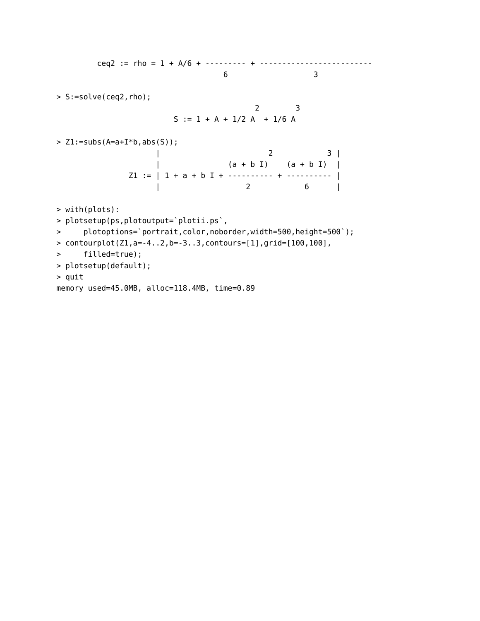ceq2 := rho = 1 + A/6 + --------- + ------------------------- 6 3 > S:=solve(ceq2,rho); 2 3  $S := 1 + A + 1/2 A + 1/6 A$  $> Z1 :=$ subs(A=a+I\*b,abs(S)); | 2 3 | | (a + b I) (a + b I) | Z1 := | 1 + a + b I + ---------- + ---------- | | 2 6 | > with(plots): > plotsetup(ps,plotoutput=`plotii.ps`, > plotoptions=`portrait,color,noborder,width=500,height=500`); > contourplot(Z1,a=-4..2,b=-3..3,contours=[1],grid=[100,100], > filled=true); > plotsetup(default); > quit memory used=45.0MB, alloc=118.4MB, time=0.89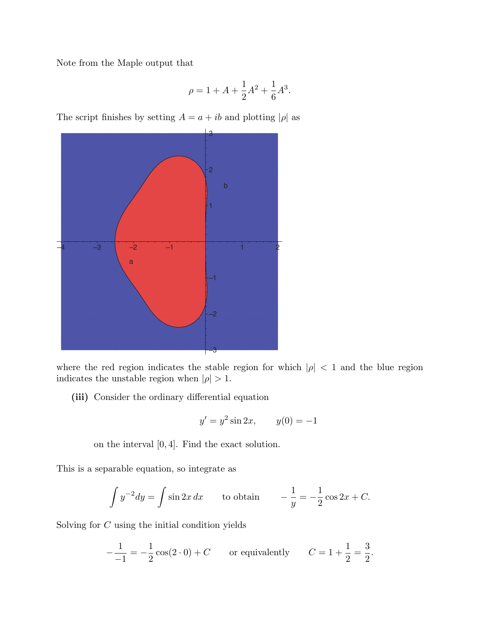Note from the Maple output that

$$
\rho = 1 + A + \frac{1}{2}A^2 + \frac{1}{6}A^3.
$$

The script finishes by setting  $A = a + ib$  and plotting  $|\rho|$  as



where the red region indicates the stable region for which  $|\rho|$  < 1 and the blue region indicates the unstable region when  $|\rho| > 1$ .

**(iii)** Consider the ordinary differential equation

$$
y' = y^2 \sin 2x
$$
,  $y(0) = -1$ 

on the interval [0*,* 4]. Find the exact solution.

This is a separable equation, so integrate as

$$
\int y^{-2} dy = \int \sin 2x \, dx
$$
 to obtain  $-\frac{1}{y} = -\frac{1}{2} \cos 2x + C.$ 

Solving for *C* using the initial condition yields

$$
-\frac{1}{-1} = -\frac{1}{2}\cos(2\cdot 0) + C \qquad \text{or equivalently} \qquad C = 1 + \frac{1}{2} = \frac{3}{2}.
$$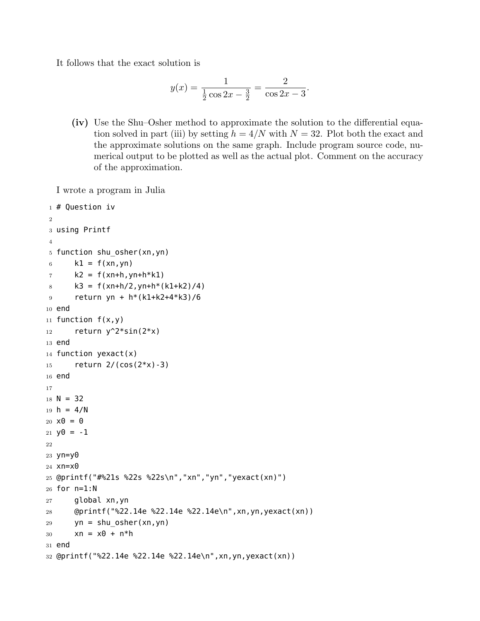It follows that the exact solution is

$$
y(x) = \frac{1}{\frac{1}{2}\cos 2x - \frac{3}{2}} = \frac{2}{\cos 2x - 3}
$$

*.*

**(iv)** Use the Shu–Osher method to approximate the solution to the differential equation solved in part (iii) by setting  $h = 4/N$  with  $N = 32$ . Plot both the exact and the approximate solutions on the same graph. Include program source code, numerical output to be plotted as well as the actual plot. Comment on the accuracy of the approximation.

I wrote a program in Julia

```
1 # Question iv
\overline{2}3 using Printf
4
5 function shu_osher(xn,yn)
6 k1 = f(xn, yn)7 \times 2 = f(xn+h, yn+h*k1)8 k3 = f(xn+h/2, yn+h*(k1+k2)/4)
9 return yn + h*(k1+k2+4*k3)/6
10 end
11 function f(x,y)12 return y^2*sin(2*x)13 end
14 function yexact(x)
15 return 2/(cos(2*x)-3)
16 end
17
18 N = 3219 h = 4/N20 \times 0 = 021 y0 = -122
23 yn=y024 xn=x0
25 @printf("#%21s %22s %22s\n","xn","yn","yexact(xn)")
26 for n=1:N
27 global xn,yn
28 @printf("%22.14e %22.14e %22.14e\n",xn,yn,yexact(xn))
29 yn = shu_osher(xn,yn)
30 xn = x0 + n*h31 end
32 @printf("%22.14e %22.14e %22.14e\n",xn,yn,yexact(xn))
```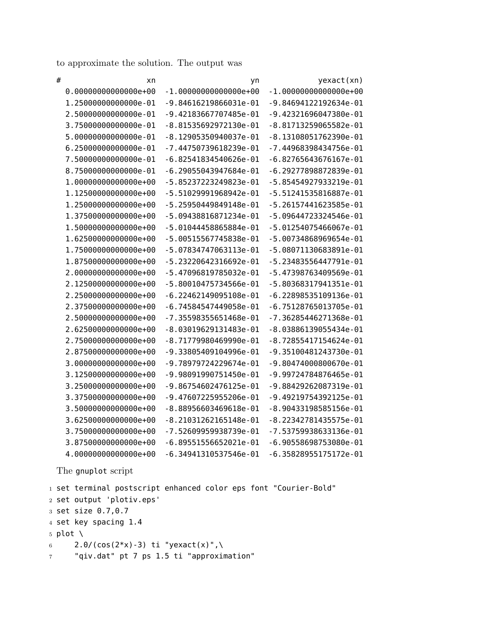to approximate the solution. The output was

| # | xn                     | yn                        | yexact(xn)                |
|---|------------------------|---------------------------|---------------------------|
|   | $0.000000000000000+00$ | $-1.00000000000000e+00$   | $-1.00000000000000+00$    |
|   | 1.2500000000000e-01    | $-9.84616219866031e-01$   | -9.84694122192634e-01     |
|   | 2.5000000000000e-01    | $-9.42183667707485e-01$   | -9.42321696047380e-01     |
|   | 3.7500000000000e-01    | $-8.81535692972130e-01$   | -8.81713259065582e-01     |
|   | 5.0000000000000e-01    | $-8.12905350940037e-01$   | $-8.13108051762390e - 01$ |
|   | 6.2500000000000e-01    | -7.44750739618239e-01     | -7.44968398434756e-01     |
|   | 7.5000000000000e-01    | $-6.82541834540626e - 01$ | $-6.82765643676167e-01$   |
|   | 8.7500000000000e-01    | $-6.29055043947684e - 01$ | -6.29277898872839e-01     |
|   | 1.0000000000000e+00    | -5.85237223249823e-01     | -5.85454927933219e-01     |
|   | 1.1250000000000e+00    | -5.51029991968942e-01     | -5.51241535816887e-01     |
|   | 1.2500000000000e+00    | $-5.25950449849148e-01$   | -5.26157441623585e-01     |
|   | 1.3750000000000e+00    | -5.09438816871234e-01     | -5.09644723324546e-01     |
|   | 1.5000000000000e+00    | $-5.01044458865884e-01$   | -5.01254075466067e-01     |
|   | 1.6250000000000e+00    | -5.00515567745838e-01     | -5.00734868969654e-01     |
|   | 1.7500000000000e+00    | -5.07834747063113e-01     | $-5.08071130683891e-01$   |
|   | 1.8750000000000e+00    | -5.23220642316692e-01     | -5.23483556447791e-01     |
|   | 2.0000000000000e+00    | -5.47096819785032e-01     | -5.47398763409569e-01     |
|   | 2.1250000000000e+00    | $-5.80010475734566e-01$   | $-5.80368317941351e-01$   |
|   | 2.2500000000000e+00    | $-6.22462149095108e-01$   | $-6.22898535109136e-01$   |
|   | 2.3750000000000e+00    | $-6.74584547449058e-01$   | $-6.75128765013705e-01$   |
|   | 2.5000000000000e+00    | $-7.35598355651468e-01$   | -7.36285446271368e-01     |
|   | 2.6250000000000e+00    | $-8.03019629131483e-01$   | $-8.03886139055434e-01$   |
|   | 2.7500000000000e+00    | $-8.71779980469990e-01$   | $-8.72855417154624e-01$   |
|   | 2.8750000000000e+00    | $-9.33805409104996e - 01$ | -9.35100481243730e-01     |
|   | 3.0000000000000e+00    | -9.78979724229674e-01     | $-9.80474000800670e - 01$ |
|   | 3.1250000000000e+00    | $-9.98091990751450e-01$   | -9.99724784876465e-01     |
|   | 3.2500000000000e+00    | -9.86754602476125e-01     | -9.88429262087319e-01     |
|   | 3.3750000000000e+00    | $-9.47607225955206e-01$   | -9.49219754392125e-01     |
|   | 3.5000000000000e+00    | $-8.88956603469618e - 01$ | $-8.90433198585156e-01$   |
|   | 3.6250000000000e+00    | $-8.21031262165148e-01$   | -8.22342781435575e-01     |
|   | 3.7500000000000e+00    | -7.52609959938739e-01     | -7.53759938633136e-01     |
|   | 3.8750000000000e+00    | $-6.89551556652021e-01$   | $-6.90558698753080e - 01$ |
|   | 4.0000000000000e+00    | $-6.34941310537546e - 01$ | $-6.35828955175172e-01$   |

The gnuplot script

 set terminal postscript enhanced color eps font "Courier-Bold" set output 'plotiv.eps' set size 0.7,0.7 set key spacing 1.4 5 plot \ 6 2.0/(cos(2\*x)-3) ti "yexact(x)",\ "qiv.dat" pt 7 ps 1.5 ti "approximation"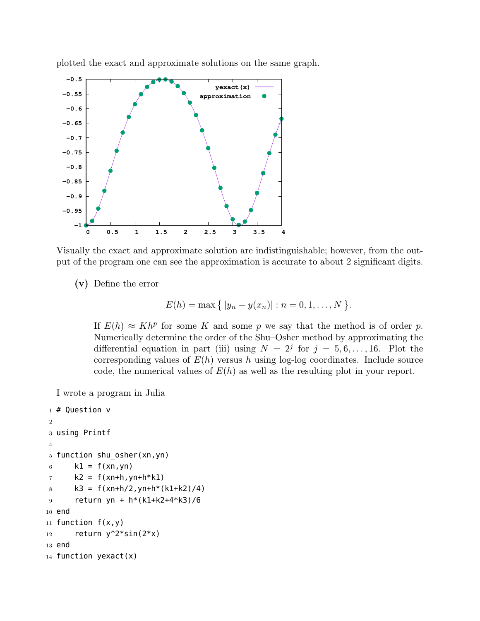

plotted the exact and approximate solutions on the same graph.

Visually the exact and approximate solution are indistinguishable; however, from the output of the program one can see the approximation is accurate to about 2 significant digits.

**(v)** Define the error

$$
E(h) = \max \{ |y_n - y(x_n)| : n = 0, 1, ..., N \}.
$$

If  $E(h) \approx Kh^p$  for some *K* and some *p* we say that the method is of order *p*. Numerically determine the order of the Shu–Osher method by approximating the differential equation in part (iii) using  $N = 2^{j}$  for  $j = 5, 6, ..., 16$ . Plot the corresponding values of  $E(h)$  versus h using log-log coordinates. Include source code, the numerical values of *E*(*h*) as well as the resulting plot in your report.

I wrote a program in Julia

```
1 # Question v
2
3 using Printf
4
5 function shu_osher(xn,yn)
6 k1 = f(xn, yn)7 k2 = f(xn+h, yn+h*k1)8 k3 = f(xn+h/2, yn+h*(k1+k2)/4)
9 return yn + h*(k1+k2+4*k3)/6
10 end
11 function f(x,y)12 return y^2*sin(2*x)13 end
14 function yexact(x)
```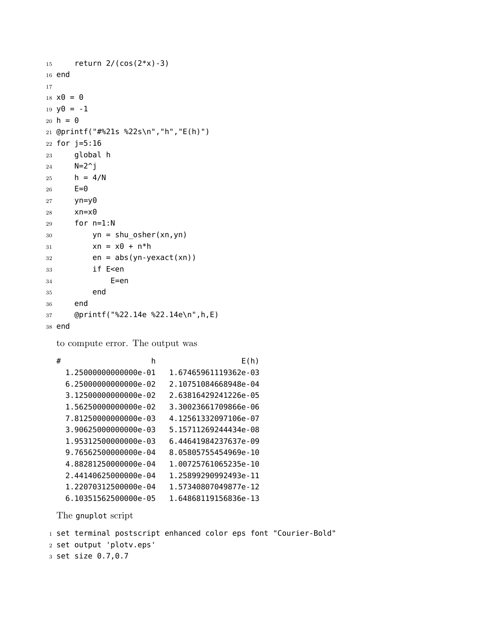```
15 return 2/(\cos(2*x) - 3)16 end
17
18 \times 0 = 019 y0 = -120 h = 021 @printf("#%21s %22s\n","h","E(h)")
22 for j=5:16
23 global h
24 N=2^j j25 h = 4/N26 E=027 yn=y0
28 xn=x0
29 for n=1:N
30 yn = shu_osher(xn,yn)
31 xn = x0 + n*h32 en = abs(yn-yexact(xn))
33 if E<en
34 E=en
35 end
36 end
37 @printf("%22.14e %22.14e\n",h,E)
38 end
 to compute error. The output was
  # h E(h)
```

```
1.25000000000000e-01 1.67465961119362e-03
6.25000000000000e-02 2.10751084668948e-04
3.12500000000000e-02 2.63816429241226e-05
1.56250000000000e-02 3.30023661709866e-06
7.81250000000000e-03 4.12561332097106e-07
3.90625000000000e-03 5.15711269244434e-08
1.95312500000000e-03 6.44641984237637e-09
9.76562500000000e-04 8.05805755454969e-10
4.88281250000000e-04 1.00725761065235e-10
2.44140625000000e-04 1.25899290992493e-11
1.22070312500000e-04 1.57340807049877e-12
6.10351562500000e-05 1.64868119156836e-13
```
The gnuplot script

```
1 set terminal postscript enhanced color eps font "Courier-Bold"
```

```
2 set output 'plotv.eps'
```

```
3 set size 0.7,0.7
```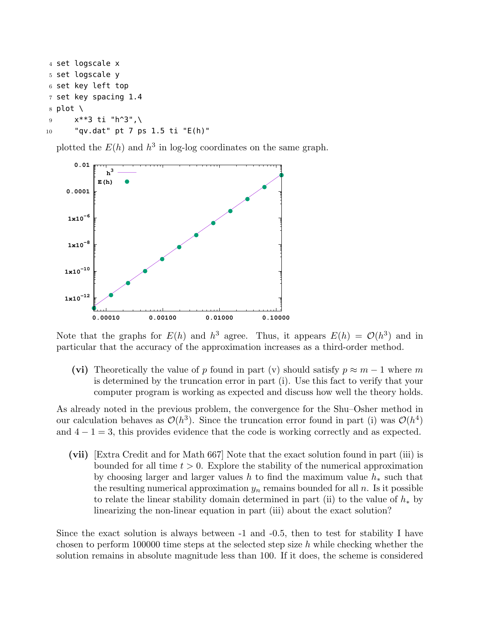```
4 set logscale x
5 set logscale y
6 set key left top
7 set key spacing 1.4
8 plot \setminus9 x**3 ti "h^3",\
10 "qv.dat" pt 7 ps 1.5 ti "E(h)"
```
plotted the  $E(h)$  and  $h^3$  in log-log coordinates on the same graph.



Note that the graphs for  $E(h)$  and  $h^3$  agree. Thus, it appears  $E(h) = \mathcal{O}(h^3)$  and in particular that the accuracy of the approximation increases as a third-order method.

(vi) Theoretically the value of *p* found in part (v) should satisfy  $p \approx m - 1$  where *m* is determined by the truncation error in part (i). Use this fact to verify that your computer program is working as expected and discuss how well the theory holds.

As already noted in the previous problem, the convergence for the Shu–Osher method in our calculation behaves as  $\mathcal{O}(h^3)$ . Since the truncation error found in part (i) was  $\mathcal{O}(h^4)$ and  $4 − 1 = 3$ , this provides evidence that the code is working correctly and as expected.

**(vii)** [Extra Credit and for Math 667] Note that the exact solution found in part (iii) is bounded for all time *t >* 0. Explore the stability of the numerical approximation by choosing larger and larger values *h* to find the maximum value *h<sup>∗</sup>* such that the resulting numerical approximation  $y_n$  remains bounded for all  $n$ . Is it possible to relate the linear stability domain determined in part (ii) to the value of *h<sup>∗</sup>* by linearizing the non-linear equation in part (iii) about the exact solution?

Since the exact solution is always between -1 and -0.5, then to test for stability I have chosen to perform 100000 time steps at the selected step size *h* while checking whether the solution remains in absolute magnitude less than 100. If it does, the scheme is considered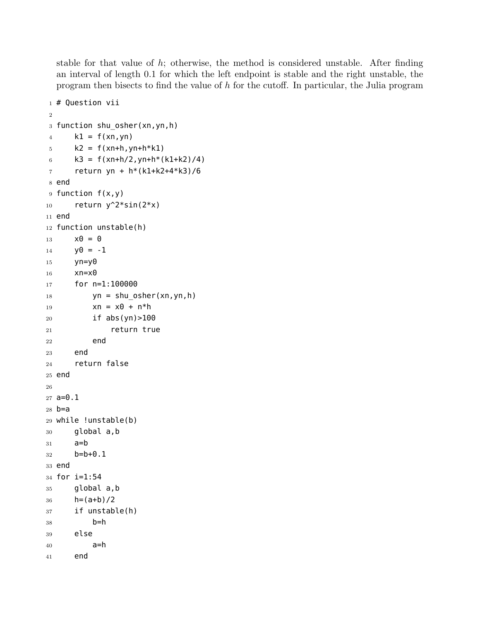stable for that value of *h*; otherwise, the method is considered unstable. After finding an interval of length 0*.*1 for which the left endpoint is stable and the right unstable, the program then bisects to find the value of *h* for the cutoff. In particular, the Julia program

```
1 # Question vii
2
3 function shu_osher(xn,yn,h)
4 k1 = f(xn, yn)5 k2 = f(xn+h, yn+h*k1)6 k3 = f(xn+h/2, yn+h*(k1+k2)/4)7 return yn + h*(k1+k2+4*k3)/6
8 end
9 function f(x,y)
10 return y^2*sin(2*x)11 end
12 function unstable(h)
13 \times 0 = 014 y0 = -115 yn=y0
16 xn=x0
17 for n=1:100000
18 yn = shu_osher(xn,yn,h)
19 xn = x0 + n*h20 if abs(yn)>100
21 return true
22 end
23 end
24 return false
25 end
26
27 a=0.1
28 b=a
29 while !unstable(b)
30 global a,b
31 a=b
32 b=b+0.1
33 end
34 for i=1:54
35 global a,b
36 h=(a+b)/2
37 if unstable(h)
38 b=h
39 else
40 a=h
41 end
```